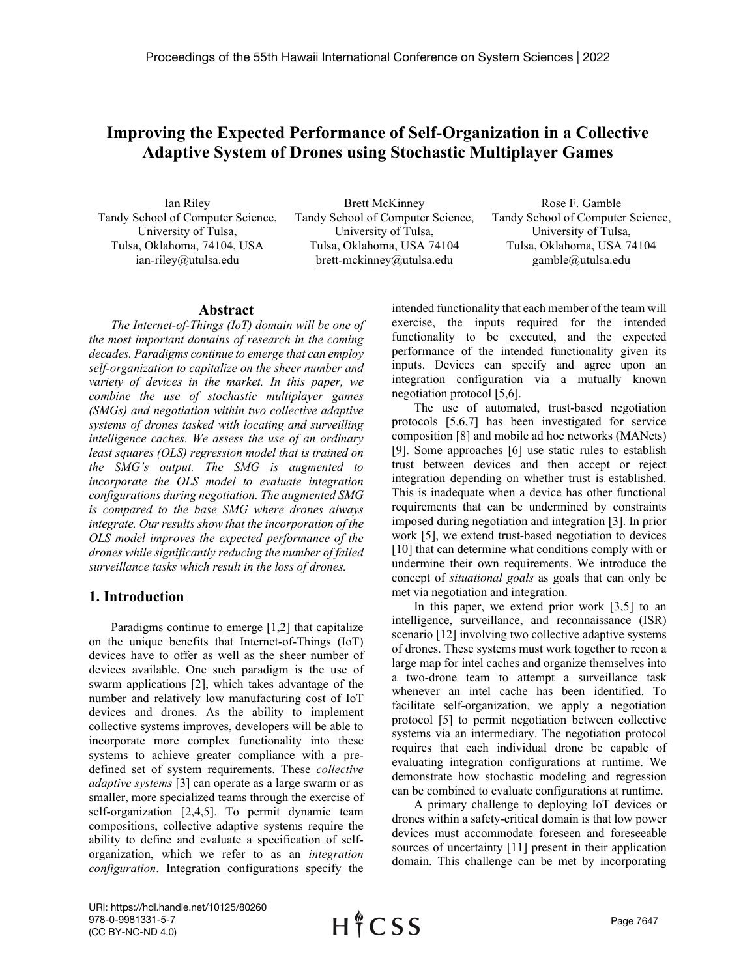# **Improving the Expected Performance of Self-Organization in a Collective Adaptive System of Drones using Stochastic Multiplayer Games**

Ian Riley Tandy School of Computer Science, University of Tulsa, Tulsa, Oklahoma, 74104, USA ian-riley@utulsa.edu

Brett McKinney Tandy School of Computer Science, University of Tulsa, Tulsa, Oklahoma, USA 74104 brett-mckinney@utulsa.edu

Rose F. Gamble Tandy School of Computer Science, University of Tulsa, Tulsa, Oklahoma, USA 74104 gamble@utulsa.edu

#### **Abstract**

*The Internet-of-Things (IoT) domain will be one of the most important domains of research in the coming decades. Paradigms continue to emerge that can employ self-organization to capitalize on the sheer number and variety of devices in the market. In this paper, we combine the use of stochastic multiplayer games (SMGs) and negotiation within two collective adaptive systems of drones tasked with locating and surveilling intelligence caches. We assess the use of an ordinary least squares (OLS) regression model that is trained on the SMG's output. The SMG is augmented to incorporate the OLS model to evaluate integration configurations during negotiation. The augmented SMG is compared to the base SMG where drones always integrate. Our results show that the incorporation of the OLS model improves the expected performance of the drones while significantly reducing the number of failed surveillance tasks which result in the loss of drones.*

## **1. Introduction**

Paradigms continue to emerge [\[1,](#page-9-0)[2\]](#page-9-1) that capitalize on the unique benefits that Internet-of-Things (IoT) devices have to offer as well as the sheer number of devices available. One such paradigm is the use of swarm applications [\[2\],](#page-9-1) which takes advantage of the number and relatively low manufacturing cost of IoT devices and drones. As the ability to implement collective systems improves, developers will be able to incorporate more complex functionality into these systems to achieve greater compliance with a predefined set of system requirements. These *collective adaptive systems* [\[3\]](#page-9-2) can operate as a large swarm or as smaller, more specialized teams through the exercise of self-organization [\[2,](#page-9-1)[4,](#page-9-3)[5\].](#page-9-4) To permit dynamic team compositions, collective adaptive systems require the ability to define and evaluate a specification of selforganization, which we refer to as an *integration configuration*. Integration configurations specify the

intended functionality that each member of the team will exercise, the inputs required for the intended functionality to be executed, and the expected performance of the intended functionality given its inputs. Devices can specify and agree upon an integration configuration via a mutually known negotiation protocol [\[5,](#page-9-4)[6\].](#page-9-5)

The use of automated, trust-based negotiation protocols [\[5,6](#page-9-4)[,7\]](#page-9-6) has been investigated for service composition [\[8\]](#page-9-7) and mobile ad hoc networks (MANets) [\[9\].](#page-9-8) Some approaches [\[6\]](#page-9-5) use static rules to establish trust between devices and then accept or reject integration depending on whether trust is established. This is inadequate when a device has other functional requirements that can be undermined by constraints imposed during negotiation and integration [\[3\].](#page-9-2) In prior work [\[5\],](#page-9-4) we extend trust-based negotiation to devices [\[10\]](#page-9-9) that can determine what conditions comply with or undermine their own requirements. We introduce the concept of *situational goals* as goals that can only be met via negotiation and integration.

In this paper, we extend prior work [\[3,](#page-9-2)[5\]](#page-9-4) to an intelligence, surveillance, and reconnaissance (ISR) scenario [\[12\]](#page-9-10) involving two collective adaptive systems of drones. These systems must work together to recon a large map for intel caches and organize themselves into a two-drone team to attempt a surveillance task whenever an intel cache has been identified. To facilitate self-organization, we apply a negotiation protocol [\[5\]](#page-9-4) to permit negotiation between collective systems via an intermediary. The negotiation protocol requires that each individual drone be capable of evaluating integration configurations at runtime. We demonstrate how stochastic modeling and regression can be combined to evaluate configurations at runtime.

A primary challenge to deploying IoT devices or drones within a safety-critical domain is that low power devices must accommodate foreseen and foreseeable sources of uncertainty [\[11\]](#page-9-11) present in their application domain. This challenge can be met by incorporating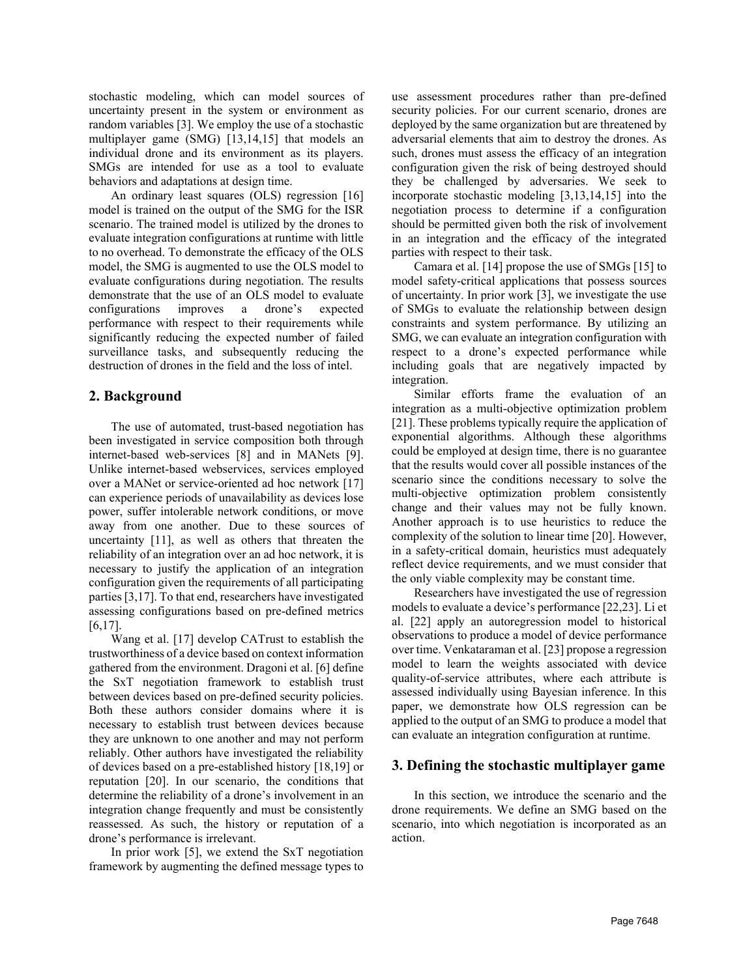stochastic modeling, which can model sources of uncertainty present in the system or environment as random variables [\[3\].](#page-9-2) We employ the use of a stochastic multiplayer game (SMG) [\[13,](#page-9-12)[14,](#page-9-13)[15\]](#page-9-14) that models an individual drone and its environment as its players. SMGs are intended for use as a tool to evaluate behaviors and adaptations at design time.

An ordinary least squares (OLS) regression [\[16\]](#page-9-15) model is trained on the output of the SMG for the ISR scenario. The trained model is utilized by the drones to evaluate integration configurations at runtime with little to no overhead. To demonstrate the efficacy of the OLS model, the SMG is augmented to use the OLS model to evaluate configurations during negotiation. The results demonstrate that the use of an OLS model to evaluate configurations improves a drone's expected performance with respect to their requirements while significantly reducing the expected number of failed surveillance tasks, and subsequently reducing the destruction of drones in the field and the loss of intel.

## **2. Background**

The use of automated, trust-based negotiation has been investigated in service composition both through internet-based web-services [\[8\]](#page-9-7) and in MANets [\[9\].](#page-9-8) Unlike internet-based webservices, services employed over a MANet or service-oriented ad hoc network [\[17\]](#page-9-16) can experience periods of unavailability as devices lose power, suffer intolerable network conditions, or move away from one another. Due to these sources of uncertainty [\[11\],](#page-9-11) as well as others that threaten the reliability of an integration over an ad hoc network, it is necessary to justify the application of an integration configuration given the requirements of all participating parties [\[3,](#page-9-2)[17\].](#page-9-16) To that end, researchers have investigated assessing configurations based on pre-defined metrics [\[6,](#page-9-5)[17\].](#page-9-16)

Wang et al. [\[17\]](#page-9-16) develop CATrust to establish the trustworthiness of a device based on context information gathered from the environment. Dragoni et al. [\[6\]](#page-9-5) define the SxT negotiation framework to establish trust between devices based on pre-defined security policies. Both these authors consider domains where it is necessary to establish trust between devices because they are unknown to one another and may not perform reliably. Other authors have investigated the reliability of devices based on a pre-established history [\[18,](#page-9-17)[19\]](#page-9-18) or reputation [\[20\].](#page-9-19) In our scenario, the conditions that determine the reliability of a drone's involvement in an integration change frequently and must be consistently reassessed. As such, the history or reputation of a drone's performance is irrelevant.

In prior work [\[5\],](#page-9-4) we extend the SxT negotiation framework by augmenting the defined message types to use assessment procedures rather than pre-defined security policies. For our current scenario, drones are deployed by the same organization but are threatened by adversarial elements that aim to destroy the drones. As such, drones must assess the efficacy of an integration configuration given the risk of being destroyed should they be challenged by adversaries. We seek to incorporate stochastic modeling [\[3,](#page-9-2)[13,](#page-9-12)[14,](#page-9-13)[15\]](#page-9-14) into the negotiation process to determine if a configuration should be permitted given both the risk of involvement in an integration and the efficacy of the integrated parties with respect to their task.

Camara et al. [\[14\]](#page-9-13) propose the use of SMGs [\[15\]](#page-9-14) to model safety-critical applications that possess sources of uncertainty. In prior work [\[3\],](#page-9-2) we investigate the use of SMGs to evaluate the relationship between design constraints and system performance. By utilizing an SMG, we can evaluate an integration configuration with respect to a drone's expected performance while including goals that are negatively impacted by integration.

Similar efforts frame the evaluation of an integration as a multi-objective optimization problem [\[21\].](#page-9-20) These problems typically require the application of exponential algorithms. Although these algorithms could be employed at design time, there is no guarantee that the results would cover all possible instances of the scenario since the conditions necessary to solve the multi-objective optimization problem consistently change and their values may not be fully known. Another approach is to use heuristics to reduce the complexity of the solution to linear time [\[20\].](#page-9-19) However, in a safety-critical domain, heuristics must adequately reflect device requirements, and we must consider that the only viable complexity may be constant time.

Researchers have investigated the use of regression models to evaluate a device's performanc[e \[22,](#page-9-21)[23\].](#page-9-22) Li et al. [\[22\]](#page-9-21) apply an autoregression model to historical observations to produce a model of device performance over time. Venkataraman et al[. \[23\]](#page-9-22) propose a regression model to learn the weights associated with device quality-of-service attributes, where each attribute is assessed individually using Bayesian inference. In this paper, we demonstrate how OLS regression can be applied to the output of an SMG to produce a model that can evaluate an integration configuration at runtime.

## **3. Defining the stochastic multiplayer game**

In this section, we introduce the scenario and the drone requirements. We define an SMG based on the scenario, into which negotiation is incorporated as an action.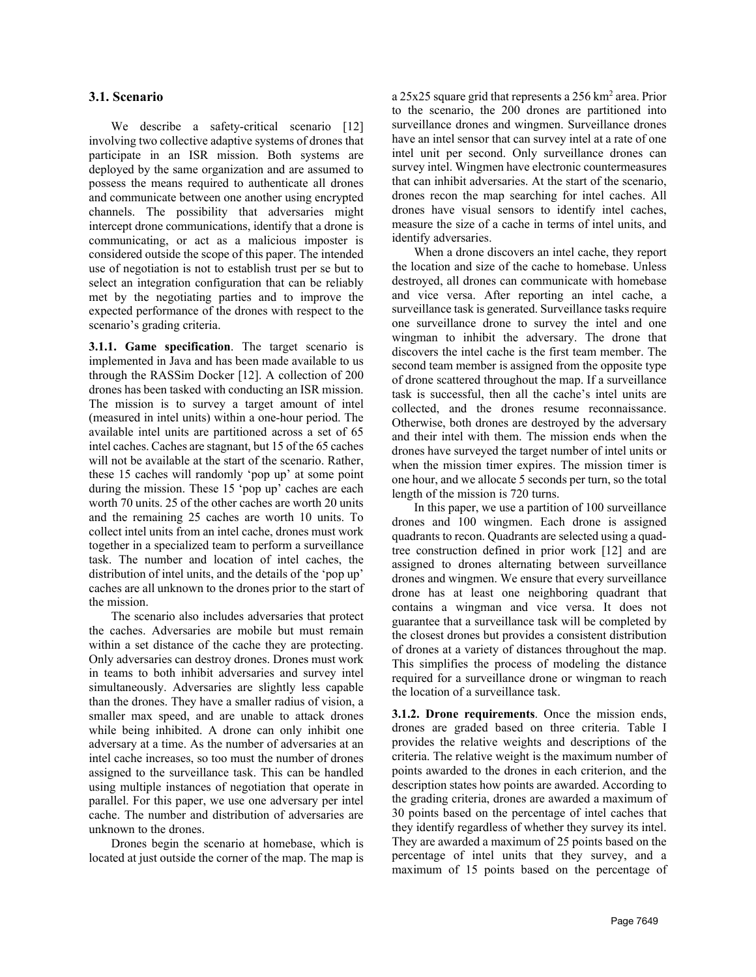### **3.1. Scenario**

We describe a safety-critical scenario [\[12\]](#page-9-10) involving two collective adaptive systems of drones that participate in an ISR mission. Both systems are deployed by the same organization and are assumed to possess the means required to authenticate all drones and communicate between one another using encrypted channels. The possibility that adversaries might intercept drone communications, identify that a drone is communicating, or act as a malicious imposter is considered outside the scope of this paper. The intended use of negotiation is not to establish trust per se but to select an integration configuration that can be reliably met by the negotiating parties and to improve the expected performance of the drones with respect to the scenario's grading criteria.

**3.1.1. Game specification**. The target scenario is implemented in Java and has been made available to us through the RASSim Docker [\[12\].](#page-9-10) A collection of 200 drones has been tasked with conducting an ISR mission. The mission is to survey a target amount of intel (measured in intel units) within a one-hour period. The available intel units are partitioned across a set of 65 intel caches. Caches are stagnant, but 15 of the 65 caches will not be available at the start of the scenario. Rather, these 15 caches will randomly 'pop up' at some point during the mission. These 15 'pop up' caches are each worth 70 units. 25 of the other caches are worth 20 units and the remaining 25 caches are worth 10 units. To collect intel units from an intel cache, drones must work together in a specialized team to perform a surveillance task. The number and location of intel caches, the distribution of intel units, and the details of the 'pop up' caches are all unknown to the drones prior to the start of the mission.

The scenario also includes adversaries that protect the caches. Adversaries are mobile but must remain within a set distance of the cache they are protecting. Only adversaries can destroy drones. Drones must work in teams to both inhibit adversaries and survey intel simultaneously. Adversaries are slightly less capable than the drones. They have a smaller radius of vision, a smaller max speed, and are unable to attack drones while being inhibited. A drone can only inhibit one adversary at a time. As the number of adversaries at an intel cache increases, so too must the number of drones assigned to the surveillance task. This can be handled using multiple instances of negotiation that operate in parallel. For this paper, we use one adversary per intel cache. The number and distribution of adversaries are unknown to the drones.

Drones begin the scenario at homebase, which is located at just outside the corner of the map. The map is a 25x25 square grid that represents a 256 km2 area. Prior to the scenario, the 200 drones are partitioned into surveillance drones and wingmen. Surveillance drones have an intel sensor that can survey intel at a rate of one intel unit per second. Only surveillance drones can survey intel. Wingmen have electronic countermeasures that can inhibit adversaries. At the start of the scenario, drones recon the map searching for intel caches. All drones have visual sensors to identify intel caches, measure the size of a cache in terms of intel units, and identify adversaries.

When a drone discovers an intel cache, they report the location and size of the cache to homebase. Unless destroyed, all drones can communicate with homebase and vice versa. After reporting an intel cache, a surveillance task is generated. Surveillance tasks require one surveillance drone to survey the intel and one wingman to inhibit the adversary. The drone that discovers the intel cache is the first team member. The second team member is assigned from the opposite type of drone scattered throughout the map. If a surveillance task is successful, then all the cache's intel units are collected, and the drones resume reconnaissance. Otherwise, both drones are destroyed by the adversary and their intel with them. The mission ends when the drones have surveyed the target number of intel units or when the mission timer expires. The mission timer is one hour, and we allocate 5 seconds per turn, so the total length of the mission is 720 turns.

In this paper, we use a partition of 100 surveillance drones and 100 wingmen. Each drone is assigned quadrants to recon. Quadrants are selected using a quadtree construction defined in prior work [\[12\]](#page-9-10) and are assigned to drones alternating between surveillance drones and wingmen. We ensure that every surveillance drone has at least one neighboring quadrant that contains a wingman and vice versa. It does not guarantee that a surveillance task will be completed by the closest drones but provides a consistent distribution of drones at a variety of distances throughout the map. This simplifies the process of modeling the distance required for a surveillance drone or wingman to reach the location of a surveillance task.

**3.1.2. Drone requirements**. Once the mission ends, drones are graded based on three criteria. [Table I](#page-3-0) provides the relative weights and descriptions of the criteria. The relative weight is the maximum number of points awarded to the drones in each criterion, and the description states how points are awarded. According to the grading criteria, drones are awarded a maximum of 30 points based on the percentage of intel caches that they identify regardless of whether they survey its intel. They are awarded a maximum of 25 points based on the percentage of intel units that they survey, and a maximum of 15 points based on the percentage of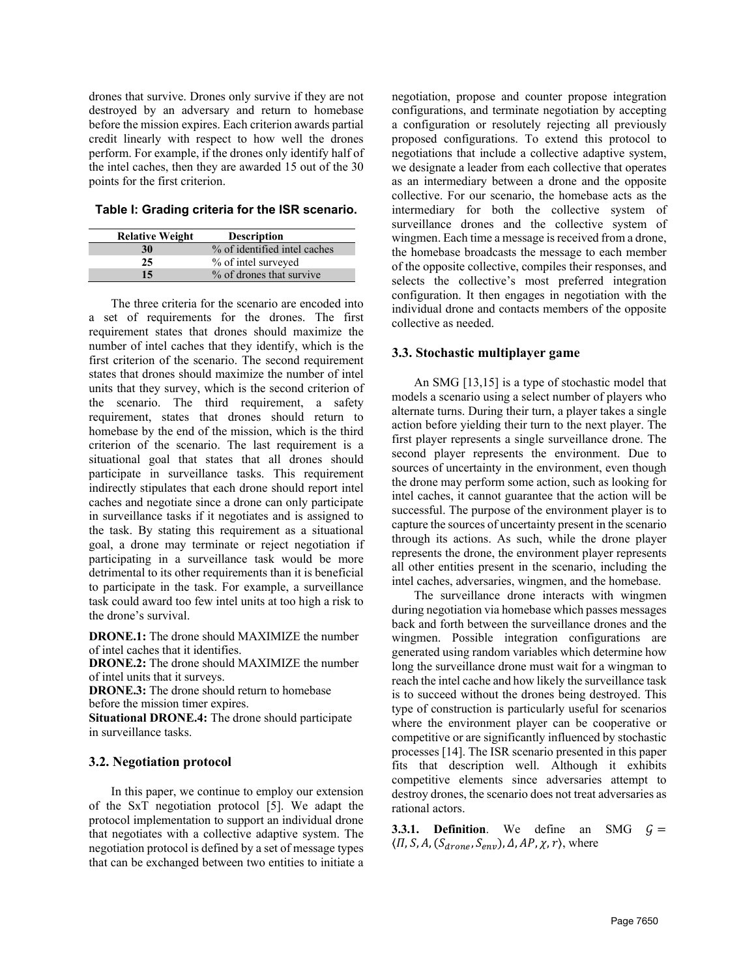drones that survive. Drones only survive if they are not destroyed by an adversary and return to homebase before the mission expires. Each criterion awards partial credit linearly with respect to how well the drones perform. For example, if the drones only identify half of the intel caches, then they are awarded 15 out of the 30 points for the first criterion.

<span id="page-3-0"></span>**Table I: Grading criteria for the ISR scenario.**

| <b>Relative Weight</b> | <b>Description</b>           |
|------------------------|------------------------------|
| 30                     | % of identified intel caches |
| 25                     | % of intel surveyed          |
| 15                     | % of drones that survive     |

The three criteria for the scenario are encoded into a set of requirements for the drones. The first requirement states that drones should maximize the number of intel caches that they identify, which is the first criterion of the scenario. The second requirement states that drones should maximize the number of intel units that they survey, which is the second criterion of the scenario. The third requirement, a safety requirement, states that drones should return to homebase by the end of the mission, which is the third criterion of the scenario. The last requirement is a situational goal that states that all drones should participate in surveillance tasks. This requirement indirectly stipulates that each drone should report intel caches and negotiate since a drone can only participate in surveillance tasks if it negotiates and is assigned to the task. By stating this requirement as a situational goal, a drone may terminate or reject negotiation if participating in a surveillance task would be more detrimental to its other requirements than it is beneficial to participate in the task. For example, a surveillance task could award too few intel units at too high a risk to the drone's survival.

**DRONE.1:** The drone should MAXIMIZE the number of intel caches that it identifies.

**DRONE.2:** The drone should MAXIMIZE the number of intel units that it surveys.

**DRONE.3:** The drone should return to homebase before the mission timer expires.

**Situational DRONE.4:** The drone should participate in surveillance tasks.

#### **3.2. Negotiation protocol**

In this paper, we continue to employ our extension of the SxT negotiation protocol [\[5\].](#page-9-4) We adapt the protocol implementation to support an individual drone that negotiates with a collective adaptive system. The negotiation protocol is defined by a set of message types that can be exchanged between two entities to initiate a negotiation, propose and counter propose integration configurations, and terminate negotiation by accepting a configuration or resolutely rejecting all previously proposed configurations. To extend this protocol to negotiations that include a collective adaptive system, we designate a leader from each collective that operates as an intermediary between a drone and the opposite collective. For our scenario, the homebase acts as the intermediary for both the collective system of surveillance drones and the collective system of wingmen. Each time a message is received from a drone, the homebase broadcasts the message to each member of the opposite collective, compiles their responses, and selects the collective's most preferred integration configuration. It then engages in negotiation with the individual drone and contacts members of the opposite collective as needed.

### **3.3. Stochastic multiplayer game**

An SMG [\[13,](#page-9-12)[15\]](#page-9-14) is a type of stochastic model that models a scenario using a select number of players who alternate turns. During their turn, a player takes a single action before yielding their turn to the next player. The first player represents a single surveillance drone. The second player represents the environment. Due to sources of uncertainty in the environment, even though the drone may perform some action, such as looking for intel caches, it cannot guarantee that the action will be successful. The purpose of the environment player is to capture the sources of uncertainty present in the scenario through its actions. As such, while the drone player represents the drone, the environment player represents all other entities present in the scenario, including the intel caches, adversaries, wingmen, and the homebase.

The surveillance drone interacts with wingmen during negotiation via homebase which passes messages back and forth between the surveillance drones and the wingmen. Possible integration configurations are generated using random variables which determine how long the surveillance drone must wait for a wingman to reach the intel cache and how likely the surveillance task is to succeed without the drones being destroyed. This type of construction is particularly useful for scenarios where the environment player can be cooperative or competitive or are significantly influenced by stochastic processes [\[14\].](#page-9-13) The ISR scenario presented in this paper fits that description well. Although it exhibits competitive elements since adversaries attempt to destroy drones, the scenario does not treat adversaries as rational actors.

**3.3.1. Definition.** We define an SMG  $G =$  $\langle \Pi, S, A, (S_{drone}, S_{env}), \Delta, AP, \chi, r \rangle$ , where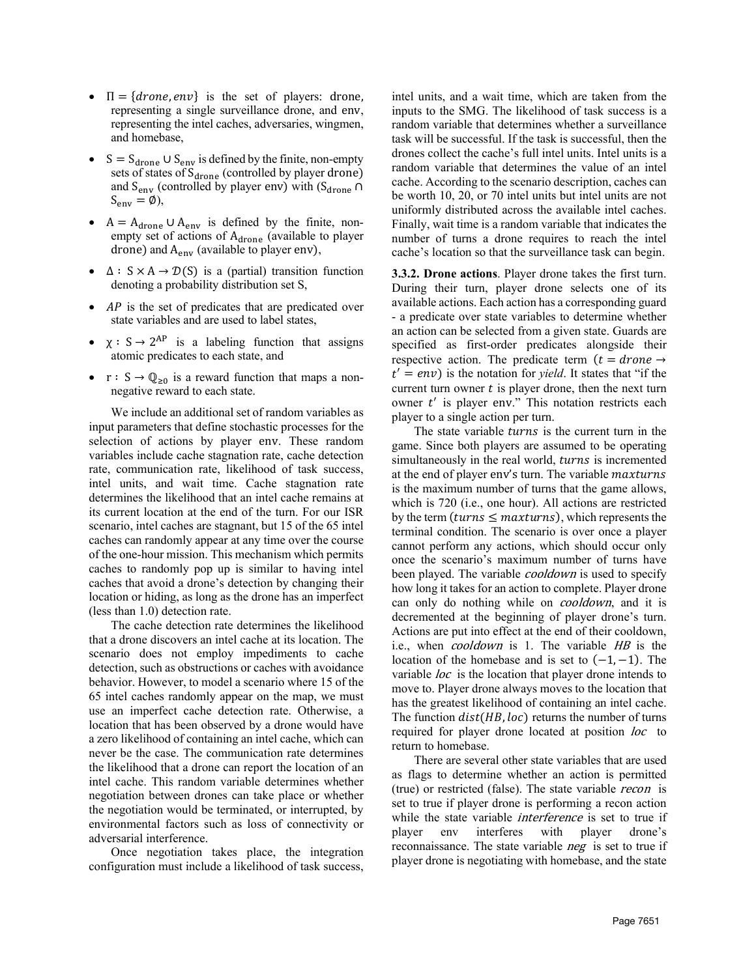- $\Pi = \{drone, env\}$  is the set of players: drone, representing a single surveillance drone, and env, representing the intel caches, adversaries, wingmen, and homebase,
- $S = S_{\text{drone}} \cup S_{\text{env}}$  is defined by the finite, non-empty sets of states of  $S<sub>drone</sub>$  (controlled by player drone) and  $S_{env}$  (controlled by player env) with  $(S_{drone} \cap$  $S_{env} = \emptyset$ ),
- $A = A_{\text{drone}} \cup A_{\text{env}}$  is defined by the finite, nonempty set of actions of A<sub>drone</sub> (available to player drone) and  $A_{env}$  (available to player env),
- $\Delta$ :  $S \times A \rightarrow \mathcal{D}(S)$  is a (partial) transition function denoting a probability distribution set S,
- $AP$  is the set of predicates that are predicated over state variables and are used to label states,
- $\chi : S \rightarrow 2^{AP}$  is a labeling function that assigns atomic predicates to each state, and
- $r : S \to \mathbb{Q}_{\geq 0}$  is a reward function that maps a nonnegative reward to each state.

We include an additional set of random variables as input parameters that define stochastic processes for the selection of actions by player env. These random variables include cache stagnation rate, cache detection rate, communication rate, likelihood of task success, intel units, and wait time. Cache stagnation rate determines the likelihood that an intel cache remains at its current location at the end of the turn. For our ISR scenario, intel caches are stagnant, but 15 of the 65 intel caches can randomly appear at any time over the course of the one-hour mission. This mechanism which permits caches to randomly pop up is similar to having intel caches that avoid a drone's detection by changing their location or hiding, as long as the drone has an imperfect (less than 1.0) detection rate.

The cache detection rate determines the likelihood that a drone discovers an intel cache at its location. The scenario does not employ impediments to cache detection, such as obstructions or caches with avoidance behavior. However, to model a scenario where 15 of the 65 intel caches randomly appear on the map, we must use an imperfect cache detection rate. Otherwise, a location that has been observed by a drone would have a zero likelihood of containing an intel cache, which can never be the case. The communication rate determines the likelihood that a drone can report the location of an intel cache. This random variable determines whether negotiation between drones can take place or whether the negotiation would be terminated, or interrupted, by environmental factors such as loss of connectivity or adversarial interference.

Once negotiation takes place, the integration configuration must include a likelihood of task success,

intel units, and a wait time, which are taken from the inputs to the SMG. The likelihood of task success is a random variable that determines whether a surveillance task will be successful. If the task is successful, then the drones collect the cache's full intel units. Intel units is a random variable that determines the value of an intel cache. According to the scenario description, caches can be worth 10, 20, or 70 intel units but intel units are not uniformly distributed across the available intel caches. Finally, wait time is a random variable that indicates the number of turns a drone requires to reach the intel cache's location so that the surveillance task can begin.

**3.3.2. Drone actions**. Player drone takes the first turn. During their turn, player drone selects one of its available actions. Each action has a corresponding guard - a predicate over state variables to determine whether an action can be selected from a given state. Guards are specified as first-order predicates alongside their respective action. The predicate term  $(t = drone \rightarrow$  $t' = env$ ) is the notation for *yield*. It states that "if the current turn owner  $t$  is player drone, then the next turn owner  $t'$  is player env." This notation restricts each player to a single action per turn.

The state variable turns is the current turn in the game. Since both players are assumed to be operating simultaneously in the real world, turns is incremented at the end of player env's turn. The variable maxturns is the maximum number of turns that the game allows, which is 720 (i.e., one hour). All actions are restricted by the term (*turns*  $\leq$  *maxturns*), which represents the terminal condition. The scenario is over once a player cannot perform any actions, which should occur only once the scenario's maximum number of turns have been played. The variable *cooldown* is used to specify how long it takes for an action to complete. Player drone can only do nothing while on *cooldown*, and it is decremented at the beginning of player drone's turn. Actions are put into effect at the end of their cooldown, i.e., when *cooldown* is 1. The variable HB is the location of the homebase and is set to  $(-1, -1)$ . The variable *loc* is the location that player drone intends to move to. Player drone always moves to the location that has the greatest likelihood of containing an intel cache. The function  $dist(HB, loc)$  returns the number of turns required for player drone located at position loc to return to homebase.

There are several other state variables that are used as flags to determine whether an action is permitted (true) or restricted (false). The state variable recon is set to true if player drone is performing a recon action while the state variable *interference* is set to true if player env interferes with player drone's reconnaissance. The state variable *neg* is set to true if player drone is negotiating with homebase, and the state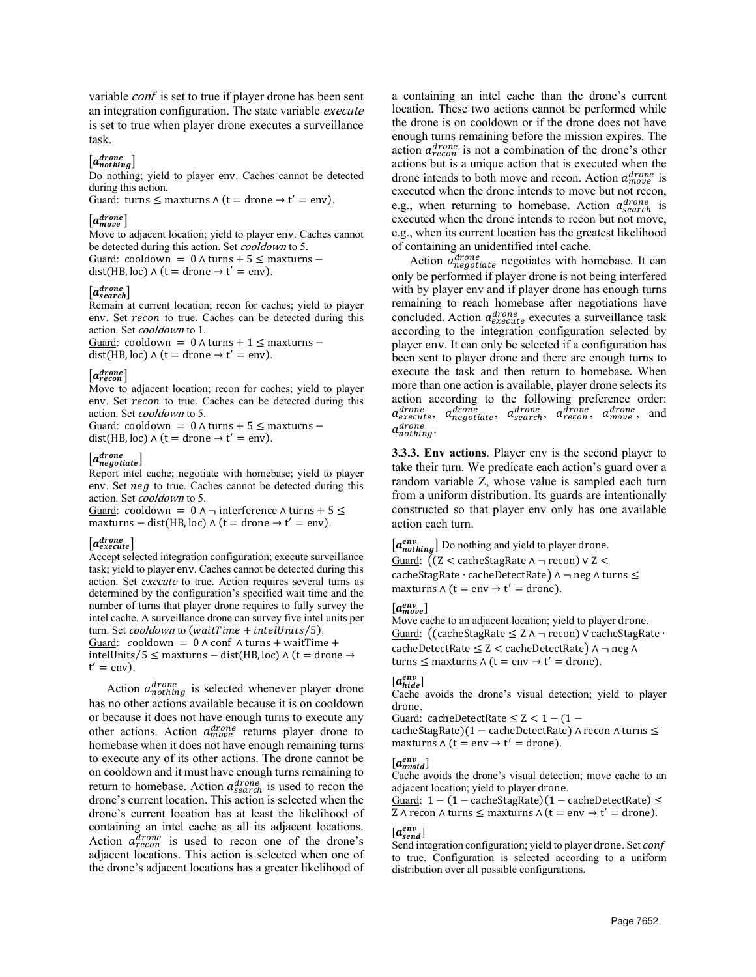variable *conf* is set to true if player drone has been sent an integration configuration. The state variable execute is set to true when player drone executes a surveillance task.

## $\lfloor a_{nothing}^{drone} \rfloor$

Do nothing; yield to player env. Caches cannot be detected during this action.

Guard: turns  $\leq$  maxturns  $\wedge$  (t = drone  $\rightarrow$  t' = env).

## $[a_{move}^{drone}]$

Move to adjacent location; yield to player env. Caches cannot be detected during this action. Set *cooldown* to 5. Guard: cooldown =  $0 \wedge$  turns +  $5 \leq$  maxturns −

 $dist(HB, loc) \wedge (t = drone \rightarrow t' = env).$ 

## $[a_{search}^{drone}]$

Remain at current location; recon for caches; yield to player env. Set recon to true. Caches can be detected during this action. Set cooldown to 1.

Guard: cooldown =  $0 \wedge$  turns + 1  $\leq$  maxturns –  $dist(HB, loc) \wedge (t = drone \rightarrow t' = env).$ 

#### $[a^{drone}_{recon}]$

Move to adjacent location; recon for caches; yield to player env. Set recon to true. Caches can be detected during this action. Set cooldown to 5.

Guard: cooldown =  $0 \wedge$  turns +  $5 \leq$  maxturns − dist(HB, loc)  $\wedge$  (t = drone  $\rightarrow$  t' = env).

#### $\left[a_{negative}^{drone}\right]$

Report intel cache; negotiate with homebase; yield to player env. Set  $neg$  to true. Caches cannot be detected during this action. Set *cooldown* to 5.

Guard: cooldown =  $0 \wedge \neg$  interference  $\wedge$  turns + 5 ≤ maxturns – dist(HB, loc)  $\wedge$  (t = drone  $\rightarrow$  t' = env).

## $[a_{execute}^{drone}]$

Accept selected integration configuration; execute surveillance task; yield to player env. Caches cannot be detected during this action. Set execute to true. Action requires several turns as determined by the configuration's specified wait time and the number of turns that player drone requires to fully survey the intel cache. A surveillance drone can survey five intel units per turn. Set cooldown to (waitTime + intelUnits/5). Guard:  $\text{coddown} = 0 \land \text{conf} \land \text{turns} + \text{waitTime} + \text{const}$ intelUnits⁄5 ≤ maxturns − dist(HB, loc) ∧ (t = drone →  $t' = env$ ).

Action  $a_{nothing}^{drone}$  is selected whenever player drone has no other actions available because it is on cooldown or because it does not have enough turns to execute any other actions. Action  $a_{move}^{drone}$  returns player drone to homebase when it does not have enough remaining turns to execute any of its other actions. The drone cannot be on cooldown and it must have enough turns remaining to return to homebase. Action  $a^{drop}$  is used to recon the drone's current location. This action is selected when the drone's current location has at least the likelihood of containing an intel cache as all its adjacent locations. Action  $a_{recon}^{drone}$  is used to recon one of the drone's adjacent locations. This action is selected when one of the drone's adjacent locations has a greater likelihood of

a containing an intel cache than the drone's current location. These two actions cannot be performed while the drone is on cooldown or if the drone does not have enough turns remaining before the mission expires. The action  $a_{recon}^{drone}$  is not a combination of the drone's other actions but is a unique action that is executed when the drone intends to both move and recon. Action  $a_{move}^{drone}$  is executed when the drone intends to move but not recon, e.g., when returning to homebase. Action  $a^{drone}_{search}$  is executed when the drone intends to recon but not move, e.g., when its current location has the greatest likelihood of containing an unidentified intel cache.

Action  $a_{negotide}^{drone}$  negotiates with homebase. It can only be performed if player drone is not being interfered with by player env and if player drone has enough turns remaining to reach homebase after negotiations have concluded. Action  $a_{execute}^{drone}$  executes a surveillance task according to the integration configuration selected by player env. It can only be selected if a configuration has been sent to player drone and there are enough turns to execute the task and then return to homebase. When more than one action is available, player drone selects its action according to the following preference order:<br> $a_{execute}^{drone}$ ,  $a_{negative}^{drone}$ ,  $a_{search}^{drone}$ ,  $a_{recon}^{drone}$ , and  $\alpha_{\textit{execute}}^{\textit{drone}}, \alpha_{\textit{negative}}^{\textit{drone}}, \alpha_{\textit{search}}^{\textit{drone}}, \alpha_{\textit{move}}^{\textit{drone}}, \text{ and}$ drone<br>nothing <mark>·</mark>

**3.3.3. Env actions**. Player env is the second player to take their turn. We predicate each action's guard over a random variable Z, whose value is sampled each turn from a uniform distribution. Its guards are intentionally constructed so that player env only has one available action each turn.

 $[a_{nothing}^{env}]$  Do nothing and yield to player drone.

Guard: �(Z < cacheStagRate ∧ ¬ recon) ∨ Z < cacheStagRate ⋅ cacheDetectRate) ∧ ¬ neg ∧ turns ≤ maxturns  $∧$  (t = env  $→$  t' = drone).

## $[a_{move}^{env}]$

Move cache to an adjacent location; yield to player drone. Guard: �(cacheStagRate ≤ Z ∧ ¬ recon) ∨ cacheStagRate ∙ cacheDetectRate  $\leq Z <$  cacheDetectRate)  $\land \neg$  neg  $\land$ turns  $\leq$  maxturns  $\wedge$  (t = env → t' = drone).

#### $[a_{hide}^{env}]$

Cache avoids the drone's visual detection; yield to player drone.

Guard: cacheDetectRate  $\leq Z < 1 - (1 -$ 

cacheStagRate)(1 − cacheDetectRate) ∧ recon ∧ turns ≤ maxturns  $\wedge$  (t = env  $\rightarrow$  t' = drone).

#### $[a_{avoid}^{env}]$

Cache avoids the drone's visual detection; move cache to an adjacent location; yield to player drone.

Guard:  $1 - (1 - \text{cacheStage})(1 - \text{cacheDate}) \le$ Z ∧ recon ∧ turns  $\leq$  maxturns ∧ (t = env  $\rightarrow$  t' = drone).

## $[a_{send}^{env}]$

Send integration configuration; yield to player drone. Set conf to true. Configuration is selected according to a uniform distribution over all possible configurations.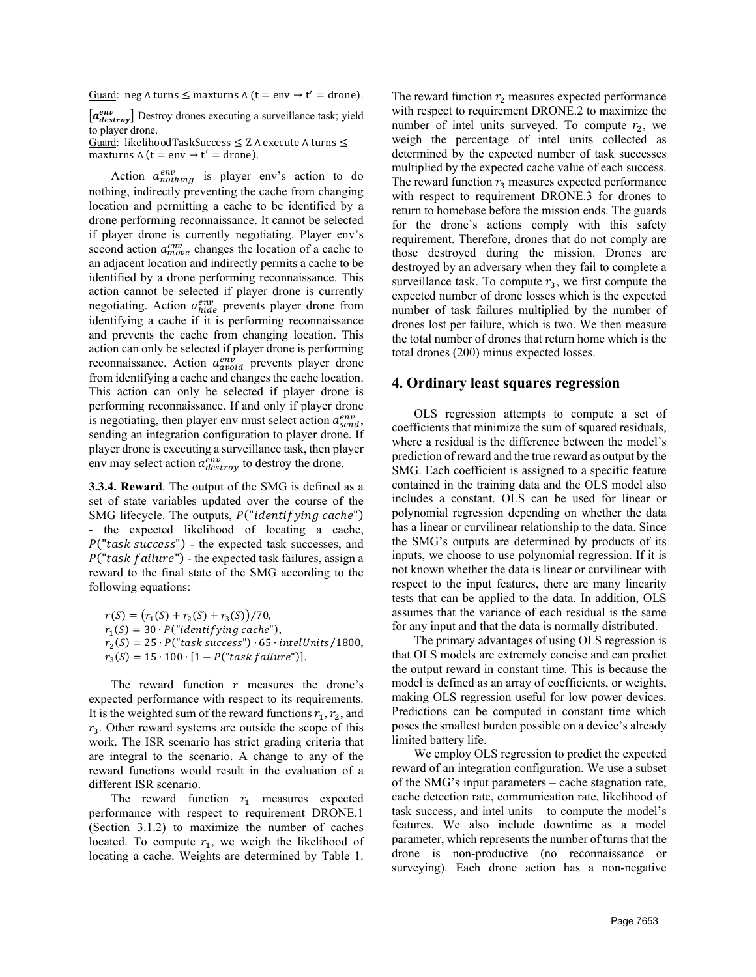Guard: neg ∧ turns  $\leq$  maxturns  $\wedge$  (t = env  $\rightarrow$  t' = drone).

 $[a_{destrov}^{env}]$  Destroy drones executing a surveillance task; yield to player drone.

Guard: likelihoodTaskSuccess ≤ Z ∧ execute ∧ turns ≤ maxturns  $∧$  (t = env  $→$  t' = drone).

Action  $a_{nothing}^{env}$  is player env's action to do nothing, indirectly preventing the cache from changing location and permitting a cache to be identified by a drone performing reconnaissance. It cannot be selected if player drone is currently negotiating. Player env's second action  $a_{move}^{env}$  changes the location of a cache to an adjacent location and indirectly permits a cache to be identified by a drone performing reconnaissance. This action cannot be selected if player drone is currently negotiating. Action  $a_{hide}^{env}$  prevents player drone from identifying a cache if it is performing reconnaissance and prevents the cache from changing location. This action can only be selected if player drone is performing reconnaissance. Action  $a_{avoid}^{env}$  prevents player drone from identifying a cache and changes the cache location. This action can only be selected if player drone is performing reconnaissance. If and only if player drone is negotiating, then player env must select action  $a_{send}^{env}$ , sending an integration configuration to player drone. If player drone is executing a surveillance task, then player env may select action  $a_{\text{destroy}}^{\text{env}}$  to destroy the drone.

**3.3.4. Reward**. The output of the SMG is defined as a set of state variables updated over the course of the SMG lifecycle. The outputs,  $P("identitying cache")$ - the expected likelihood of locating a cache,  $P("task success")$  - the expected task successes, and  $P("task failure")$  - the expected task failures, assign a reward to the final state of the SMG according to the following equations:

 $r(S) = (r_1(S) + r_2(S) + r_3(S))/70,$  $r_1(S) = 30 \cdot P("identitying cache"),$  $r_2(S) = 25 \cdot P("task success") \cdot 65 \cdot intellig \cdot 1800,$  $r_3(S) = 15 \cdot 100 \cdot [1 - P("task failure")].$ 

The reward function  $r$  measures the drone's expected performance with respect to its requirements. It is the weighted sum of the reward functions  $r_1, r_2$ , and  $r_3$ . Other reward systems are outside the scope of this work. The ISR scenario has strict grading criteria that are integral to the scenario. A change to any of the reward functions would result in the evaluation of a different ISR scenario.

The reward function  $r_1$  measures expected performance with respect to requirement DRONE.1 (Section 3.1.2) to maximize the number of caches located. To compute  $r_1$ , we weigh the likelihood of locating a cache. Weights are determined by Table 1.

The reward function  $r<sub>2</sub>$  measures expected performance with respect to requirement DRONE.2 to maximize the number of intel units surveyed. To compute  $r_2$ , we weigh the percentage of intel units collected as determined by the expected number of task successes multiplied by the expected cache value of each success. The reward function  $r_3$  measures expected performance with respect to requirement DRONE.3 for drones to return to homebase before the mission ends. The guards for the drone's actions comply with this safety requirement. Therefore, drones that do not comply are those destroyed during the mission. Drones are destroyed by an adversary when they fail to complete a surveillance task. To compute  $r_3$ , we first compute the expected number of drone losses which is the expected number of task failures multiplied by the number of drones lost per failure, which is two. We then measure the total number of drones that return home which is the total drones (200) minus expected losses.

#### **4. Ordinary least squares regression**

OLS regression attempts to compute a set of coefficients that minimize the sum of squared residuals, where a residual is the difference between the model's prediction of reward and the true reward as output by the SMG. Each coefficient is assigned to a specific feature contained in the training data and the OLS model also includes a constant. OLS can be used for linear or polynomial regression depending on whether the data has a linear or curvilinear relationship to the data. Since the SMG's outputs are determined by products of its inputs, we choose to use polynomial regression. If it is not known whether the data is linear or curvilinear with respect to the input features, there are many linearity tests that can be applied to the data. In addition, OLS assumes that the variance of each residual is the same for any input and that the data is normally distributed.

The primary advantages of using OLS regression is that OLS models are extremely concise and can predict the output reward in constant time. This is because the model is defined as an array of coefficients, or weights, making OLS regression useful for low power devices. Predictions can be computed in constant time which poses the smallest burden possible on a device's already limited battery life.

We employ OLS regression to predict the expected reward of an integration configuration. We use a subset of the SMG's input parameters – cache stagnation rate, cache detection rate, communication rate, likelihood of task success, and intel units – to compute the model's features. We also include downtime as a model parameter, which represents the number of turns that the drone is non-productive (no reconnaissance or surveying). Each drone action has a non-negative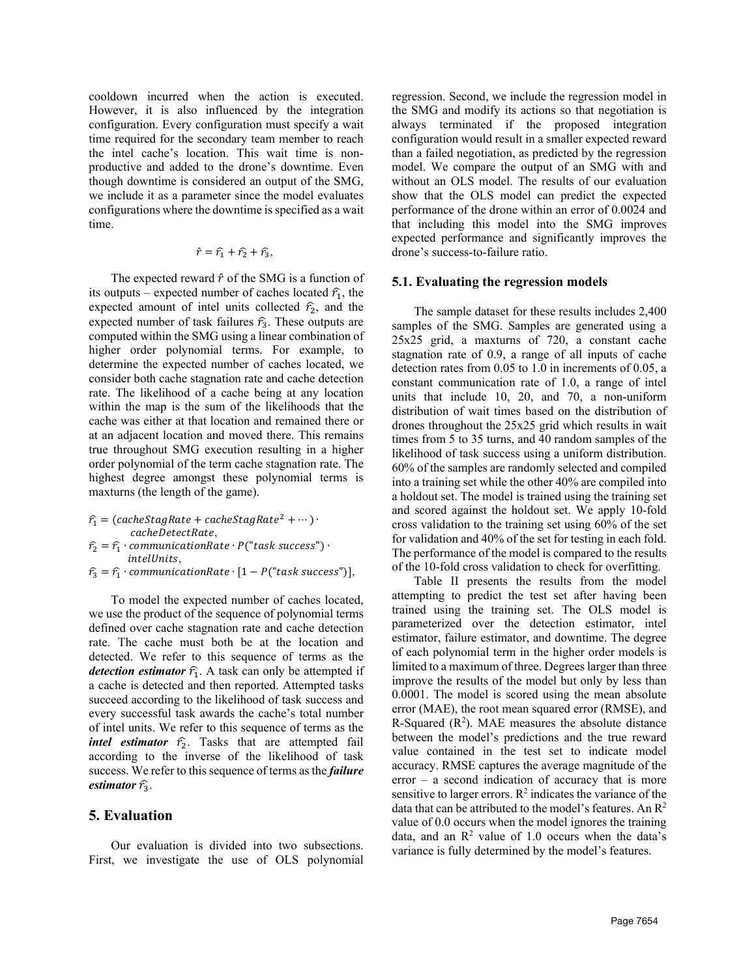cooldown incurred when the action is executed. However, it is also influenced by the integration configuration. Every configuration must specify a wait time required for the secondary team member to reach the intel cache's location. This wait time is nonproductive and added to the drone's downtime. Even though downtime is considered an output of the SMG, we include it as a parameter since the model evaluates configurations where the downtime is specified as a wait time.

$$
\hat{r} = \hat{r_1} + \hat{r_2} + \hat{r_3},
$$

The expected reward  $\hat{r}$  of the SMG is a function of its outputs – expected number of caches located  $\hat{\tau}_1$ , the expected amount of intel units collected  $\hat{r}_2$ , and the expected number of task failures  $\hat{r}_3$ . These outputs are computed within the SMG using a linear combination of higher order polynomial terms. For example, to determine the expected number of caches located, we consider both cache stagnation rate and cache detection rate. The likelihood of a cache being at any location within the map is the sum of the likelihoods that the cache was either at that location and remained there or at an adjacent location and moved there. This remains true throughout SMG execution resulting in a higher order polynomial of the term cache stagnation rate. The highest degree amongst these polynomial terms is maxturns (the length of the game).

- $\hat{r}_1 = (cacheStagRate + cacheStagRate^2 + \cdots)$ cacheDetectRate,
- $\hat{r}_2 = \hat{r}_1 \cdot \text{communicationRate} \cdot P("task success") \cdot$ intelUnits,
- $\hat{r}_3 = \hat{r}_1 \cdot \text{communicationRate} \cdot [1 P("task success"))],$

To model the expected number of caches located, we use the product of the sequence of polynomial terms defined over cache stagnation rate and cache detection rate. The cache must both be at the location and detected. We refer to this sequence of terms as the *detection estimator*  $\hat{r}_1$ . A task can only be attempted if a cache is detected and then reported. Attempted tasks succeed according to the likelihood of task success and every successful task awards the cache's total number of intel units. We refer to this sequence of terms as the *intel estimator*  $\hat{r}_2$ . Tasks that are attempted fail according to the inverse of the likelihood of task success. We refer to this sequence of terms as the *failure estimator*  $\hat{\tau}_3$ .

## **5. Evaluation**

Our evaluation is divided into two subsections. First, we investigate the use of OLS polynomial

regression. Second, we include the regression model in the SMG and modify its actions so that negotiation is always terminated if the proposed integration configuration would result in a smaller expected reward than a failed negotiation, as predicted by the regression model. We compare the output of an SMG with and without an OLS model. The results of our evaluation show that the OLS model can predict the expected performance of the drone within an error of 0.0024 and that including this model into the SMG improves expected performance and significantly improves the drone's success-to-failure ratio.

#### **5.1. Evaluating the regression models**

The sample dataset for these results includes 2,400 samples of the SMG. Samples are generated using a 25x25 grid, a maxturns of 720, a constant cache stagnation rate of 0.9, a range of all inputs of cache detection rates from 0.05 to 1.0 in increments of 0.05, a constant communication rate of 1.0, a range of intel units that include 10, 20, and 70, a non-uniform distribution of wait times based on the distribution of drones throughout the 25x25 grid which results in wait times from 5 to 35 turns, and 40 random samples of the likelihood of task success using a uniform distribution. 60% of the samples are randomly selected and compiled into a training set while the other 40% are compiled into a holdout set. The model is trained using the training set and scored against the holdout set. We apply 10-fold cross validation to the training set using 60% of the set for validation and 40% of the set for testing in each fold. The performance of the model is compared to the results of the 10-fold cross validation to check for overfitting.

[Table II](#page-8-0) presents the results from the model attempting to predict the test set after having been trained using the training set. The OLS model is parameterized over the detection estimator, intel estimator, failure estimator, and downtime. The degree of each polynomial term in the higher order models is limited to a maximum of three. Degrees larger than three improve the results of the model but only by less than 0.0001. The model is scored using the mean absolute error (MAE), the root mean squared error (RMSE), and R-Squared  $(R^2)$ . MAE measures the absolute distance between the model's predictions and the true reward value contained in the test set to indicate model accuracy. RMSE captures the average magnitude of the error – a second indication of accuracy that is more sensitive to larger errors.  $\mathbb{R}^2$  indicates the variance of the data that can be attributed to the model's features. An  $\mathbb{R}^2$ value of 0.0 occurs when the model ignores the training data, and an  $\mathbb{R}^2$  value of 1.0 occurs when the data's variance is fully determined by the model's features.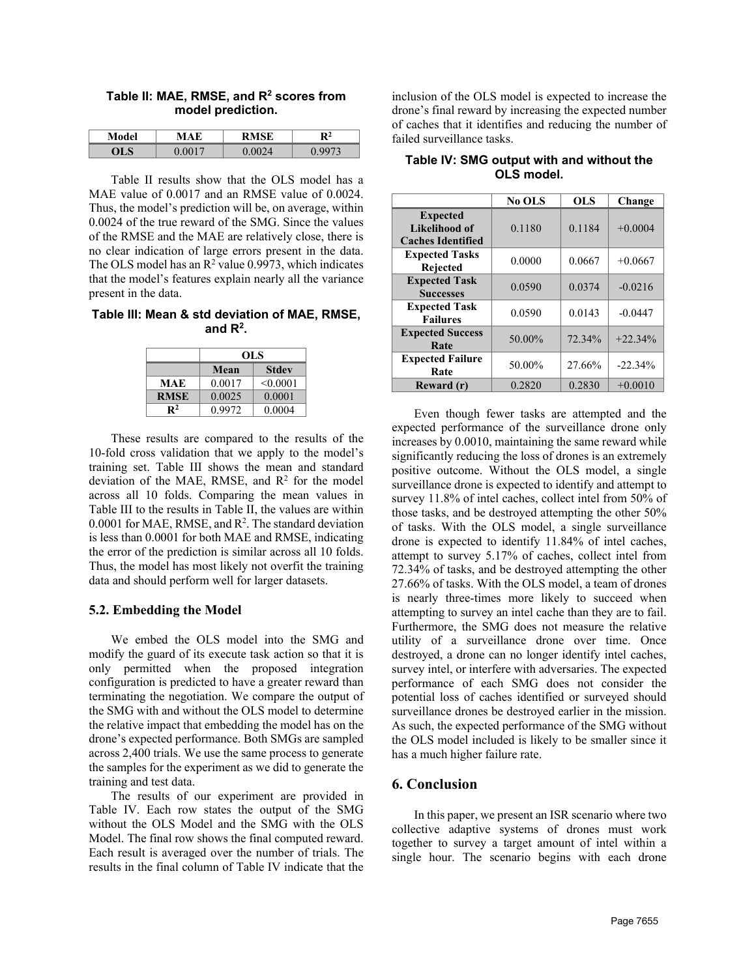| Model | DMCF | Юż |
|-------|------|----|
|       |      |    |

<span id="page-8-0"></span>**Table II: MAE, RMSE, and R2 scores from model prediction.**

Table II results show that the OLS model has a MAE value of 0.0017 and an RMSE value of 0.0024. Thus, the model's prediction will be, on average, within 0.0024 of the true reward of the SMG. Since the values of the RMSE and the MAE are relatively close, there is no clear indication of large errors present in the data. The OLS model has an  $\mathbb{R}^2$  value 0.9973, which indicates that the model's features explain nearly all the variance present in the data.

**Table III: Mean & std deviation of MAE, RMSE, and R2.**

|             | OLS    |              |  |
|-------------|--------|--------------|--|
|             | Mean   | <b>Stdev</b> |  |
| MAE         | 0.0017 | < 0.0001     |  |
| <b>RMSE</b> | 0.0025 | 0.0001       |  |
| P2          | 0.9972 | 0.0004       |  |

These results are compared to the results of the 10-fold cross validation that we apply to the model's training set. Table III shows the mean and standard deviation of the MAE, RMSE, and  $R^2$  for the model across all 10 folds. Comparing the mean values in Table III to the results in Table II, the values are within  $0.0001$  for MAE, RMSE, and  $R^2$ . The standard deviation is less than 0.0001 for both MAE and RMSE, indicating the error of the prediction is similar across all 10 folds. Thus, the model has most likely not overfit the training data and should perform well for larger datasets.

### **5.2. Embedding the Model**

We embed the OLS model into the SMG and modify the guard of its execute task action so that it is only permitted when the proposed integration configuration is predicted to have a greater reward than terminating the negotiation. We compare the output of the SMG with and without the OLS model to determine the relative impact that embedding the model has on the drone's expected performance. Both SMGs are sampled across 2,400 trials. We use the same process to generate the samples for the experiment as we did to generate the training and test data.

The results of our experiment are provided in Table IV. Each row states the output of the SMG without the OLS Model and the SMG with the OLS Model. The final row shows the final computed reward. Each result is averaged over the number of trials. The results in the final column of Table IV indicate that the

inclusion of the OLS model is expected to increase the drone's final reward by increasing the expected number of caches that it identifies and reducing the number of failed surveillance tasks.

|                                                                     | No OLS | <b>OLS</b> | Change    |
|---------------------------------------------------------------------|--------|------------|-----------|
| <b>Expected</b><br><b>Likelihood of</b><br><b>Caches Identified</b> | 0.1180 | 0.1184     | $+0.0004$ |
| <b>Expected Tasks</b><br><b>Rejected</b>                            | 0.0000 | 0.0667     | $+0.0667$ |
| <b>Expected Task</b><br><b>Successes</b>                            | 0.0590 | 0.0374     | $-0.0216$ |
| <b>Expected Task</b><br><b>Failures</b>                             | 0.0590 | 0.0143     | $-0.0447$ |
| <b>Expected Success</b><br>Rate                                     | 50.00% | 72.34%     | $+22.34%$ |
| <b>Expected Failure</b><br>Rate                                     | 50.00% | 27.66%     | $-22.34%$ |
| Reward (r)                                                          | 0.2820 | 0.2830     | $+0.0010$ |

**Table IV: SMG output with and without the OLS model.**

Even though fewer tasks are attempted and the expected performance of the surveillance drone only increases by 0.0010, maintaining the same reward while significantly reducing the loss of drones is an extremely positive outcome. Without the OLS model, a single surveillance drone is expected to identify and attempt to survey 11.8% of intel caches, collect intel from 50% of those tasks, and be destroyed attempting the other 50% of tasks. With the OLS model, a single surveillance drone is expected to identify 11.84% of intel caches, attempt to survey 5.17% of caches, collect intel from 72.34% of tasks, and be destroyed attempting the other 27.66% of tasks. With the OLS model, a team of drones is nearly three-times more likely to succeed when attempting to survey an intel cache than they are to fail. Furthermore, the SMG does not measure the relative utility of a surveillance drone over time. Once destroyed, a drone can no longer identify intel caches, survey intel, or interfere with adversaries. The expected performance of each SMG does not consider the potential loss of caches identified or surveyed should surveillance drones be destroyed earlier in the mission. As such, the expected performance of the SMG without the OLS model included is likely to be smaller since it has a much higher failure rate.

## **6. Conclusion**

In this paper, we present an ISR scenario where two collective adaptive systems of drones must work together to survey a target amount of intel within a single hour. The scenario begins with each drone